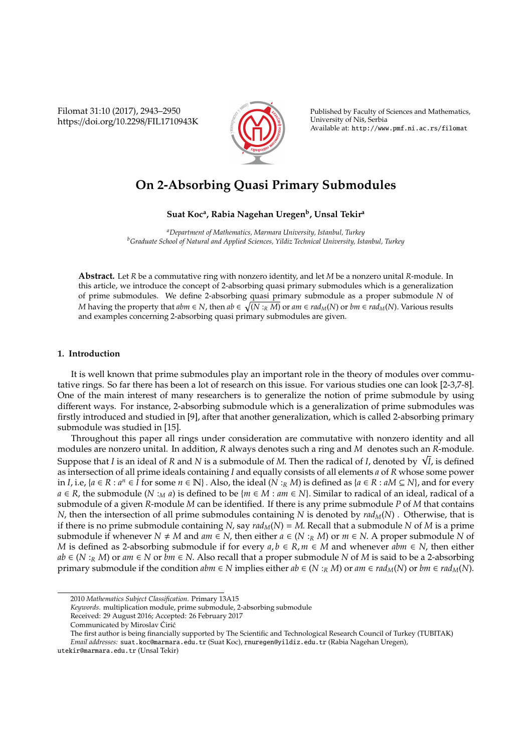Filomat 31:10 (2017), 2943–2950 https://doi.org/10.2298/FIL1710943K



Published by Faculty of Sciences and Mathematics, University of Nis, Serbia ˇ Available at: http://www.pmf.ni.ac.rs/filomat

# **On 2-Absorbing Quasi Primary Submodules**

## **Suat Koc<sup>a</sup> , Rabia Nagehan Uregen<sup>b</sup> , Unsal Tekir<sup>a</sup>**

*<sup>a</sup>Department of Mathematics, Marmara University, Istanbul, Turkey <sup>b</sup>Graduate School of Natural and Applied Sciences, Yildiz Technical University, Istanbul, Turkey*

**Abstract.** Let *R* be a commutative ring with nonzero identity, and let *M* be a nonzero unital *R*-module. In this article, we introduce the concept of 2-absorbing quasi primary submodules which is a generalization of prime submodules. We define 2-absorbing quasi primary submodule as a proper submodule *N* of *M* having the property that  $abm ∈ N$ , then  $ab ∈ \sqrt{(N :_R M)}$  or  $am ∈ rad_M(N)$  or  $bm ∈ rad_M(N)$ . Various results and examples concerning 2-absorbing quasi primary submodules are given.

#### **1. Introduction**

It is well known that prime submodules play an important role in the theory of modules over commutative rings. So far there has been a lot of research on this issue. For various studies one can look [2-3,7-8]. One of the main interest of many researchers is to generalize the notion of prime submodule by using different ways. For instance, 2-absorbing submodule which is a generalization of prime submodules was firstly introduced and studied in [9], after that another generalization, which is called 2-absorbing primary submodule was studied in [15].

Throughout this paper all rings under consideration are commutative with nonzero identity and all modules are nonzero unital. In addition, *R* always denotes such a ring and *M* denotes such an *R*-module. modules are nonzero unital. In addition, *K* always denotes such a ring and *M* denotes such an *K*-module.<br>Suppose that *I* is an ideal of *R* and *N* is a submodule of *M*. Then the radical of *I*, denoted by √*I*, is d as intersection of all prime ideals containing *I* and equally consists of all elements *a* of *R* whose some power in *I*, i.e, {*a* ∈ *R* : *a*<sup>*n*</sup> ∈ *I* for some *n* ∈ N}. Also, the ideal (*N* :*R M*) is defined as {*a* ∈ *R* : *aM* ⊆ *N*}, and for every *a* ∈ *R*, the submodule (*N* :*M a*) is defined to be {*m* ∈ *M* : *am* ∈ *N*}. Similar to radical of an ideal, radical of a submodule of a given *R*-module *M* can be identified. If there is any prime submodule *P* of *M* that contains *N*, then the intersection of all prime submodules containing *N* is denoted by *radM*(*N*) . Otherwise, that is if there is no prime submodule containing *N*, say  $rad<sub>M</sub>(N) = M$ . Recall that a submodule *N* of *M* is a prime submodule if whenever  $N \neq M$  and  $am \in N$ , then either  $a \in (N :_R M)$  or  $m \in N$ . A proper submodule N of *M* is defined as 2-absorbing submodule if for every  $a, b \in R, m \in M$  and whenever  $abm \in N$ , then either *ab* ∈ (*N* :*R M*) or *am* ∈ *N* or *bm* ∈ *N*. Also recall that a proper submodule *N* of *M* is said to be a 2-absorbing primary submodule if the condition  $abm \in N$  implies either  $ab \in (N :_R M)$  or  $am \in rad_M(N)$  or  $bm \in rad_M(N)$ .

<sup>2010</sup> *Mathematics Subject Classification*. Primary 13A15

*Keywords*. multiplication module, prime submodule, 2-absorbing submodule

Received: 29 August 2016; Accepted: 26 February 2017

Communicated by Miroslav Ćirić

The first author is being financially supported by The Scientific and Technological Research Council of Turkey (TUBITAK) *Email addresses:* suat.koc@marmara.edu.tr (Suat Koc), rnuregen@yildiz.edu.tr (Rabia Nagehan Uregen),

utekir@marmara.edu.tr (Unsal Tekir)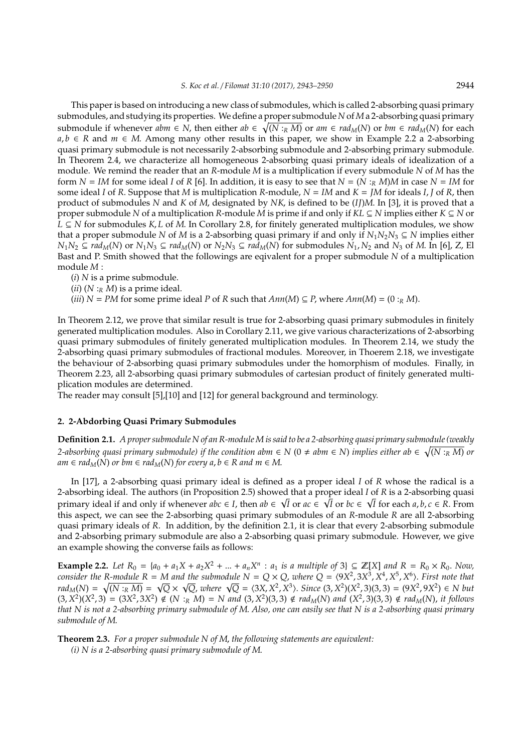This paper is based on introducing a new class of submodules, which is called 2-absorbing quasi primary submodules, and studying its properties. We define a proper submodule *N* of*M*a 2-absorbing quasi primary submodule if whenever  $abm \in N$ , then either  $ab \in \sqrt{(N :_R M)}$  or  $am \in rad_M(N)$  or  $bm \in rad_M(N)$  for each *a*, *b* ∈ *R* and *m* ∈ *M*. Among many other results in this paper, we show in Example 2.2 a 2-absorbing quasi primary submodule is not necessarily 2-absorbing submodule and 2-absorbing primary submodule. In Theorem 2.4, we characterize all homogeneous 2-absorbing quasi primary ideals of idealization of a module. We remind the reader that an *R*-module *M* is a multiplication if every submodule *N* of *M* has the form  $N = IM$  for some ideal *I* of *R* [6]. In addition, it is easy to see that  $N = (N :_R M)M$  in case  $N = IM$  for some ideal *I* of *R*. Suppose that *M* is multiplication *R*-module,  $N = IM$  and  $K = JM$  for ideals *I*, *J* of *R*, then product of submodules *N* and *K* of *M*, designated by *NK*, is defined to be (*IJ*)*M*. In [3], it is proved that a proper submodule *N* of a multiplication *R*-module *M* is prime if and only if *KL* ⊆ *N* implies either *K* ⊆ *N* or *L* ⊆ *N* for submodules *K*, *L* of *M*. In Corollary 2.8, for finitely generated multiplication modules, we show that a proper submodule *N* of *M* is a 2-absorbing quasi primary if and only if  $N_1N_2N_3 \subseteq N$  implies either  $N_1N_2 \subseteq rad_M(N)$  or  $N_1N_3 \subseteq rad_M(N)$  or  $N_2N_3 \subseteq rad_M(N)$  for submodules  $N_1, N_2$  and  $N_3$  of M. In [6], Z, El Bast and P. Smith showed that the followings are eqivalent for a proper submodule *N* of a multiplication module *M* :

(*i*) *N* is a prime submodule.

 $(iii)$   $(N:_{R} M)$  is a prime ideal.

 $(iii)$   $N = PM$  for some prime ideal *P* of *R* such that  $Ann(M) \subseteq P$ , where  $Ann(M) = (0 :_{R} M)$ .

In Theorem 2.12, we prove that similar result is true for 2-absorbing quasi primary submodules in finitely generated multiplication modules. Also in Corollary 2.11, we give various characterizations of 2-absorbing quasi primary submodules of finitely generated multiplication modules. In Theorem 2.14, we study the 2-absorbing quasi primary submodules of fractional modules. Moreover, in Thoerem 2.18, we investigate the behaviour of 2-absorbing quasi primary submodules under the homorphism of modules. Finally, in Theorem 2.23, all 2-absorbing quasi primary submodules of cartesian product of finitely generated multiplication modules are determined.

The reader may consult [5],[10] and [12] for general background and terminology.

### **2. 2-Abdorbing Quasi Primary Submodules**

**Definition 2.1.** *A proper submodule N of an R-module M is said to be a 2-absorbing quasi primary submodule (weakly* 2-absorbing quasi primary submodule) if the condition abm  $\in$  N (0  $\neq$  abm  $\in$  N) implies either ab  $\in$   $\sqrt{(N:_RM)}$  or *am* ∈ *rad<sub>M</sub>*(*N*) *or bm* ∈ *rad<sub>M</sub>*(*N*) *for every a*, *b* ∈ *R and m* ∈ *M*.

In [17], a 2-absorbing quasi primary ideal is defined as a proper ideal *I* of *R* whose the radical is a 2-absorbing ideal. The authors (in Proposition 2.5) showed that a proper ideal *I* of *R* is a 2-absorbing quasi primary ideal if and only if whenever  $abc \in I$ , then  $ab \in \sqrt{I}$  or  $ac \in \sqrt{I}$  or  $bc \in \sqrt{I}$  for each  $a, b, c \in R$ . From this aspect, we can see the 2-absorbing quasi primary submodules of an *R*-module *R* are all 2-absorbing quasi primary ideals of *R*. In addition, by the definition 2.1, it is clear that every 2-absorbing submodule and 2-absorbing primary submodule are also a 2-absorbing quasi primary submodule. However, we give an example showing the converse fails as follows:

**Example 2.2.** Let  $R_0 = \{a_0 + a_1X + a_2X^2 + ... + a_nX^n : a_1 \text{ is a multiple of } 3\} \subseteq \mathbb{Z}[X]$  and  $R = R_0 \times R_0$ . Now, *consider the R-module R* = *M* and the submodule  $N = Q \times Q$ , where  $Q = (9X^2, 3X^3, X^4, X^5, X^6)$ . First note that consider the K-module K = M and the submodule N = Q × Q, where Q =  $(9X^2, 3X^3, X^2, X^3, X^3)$ . First note that  $rad_M(N) = \sqrt{(N :_R M)} = \sqrt{Q} \times \sqrt{Q}$ , where  $\sqrt{Q} = (3X, X^2, X^3)$ . Since  $(3, X^2)(X^2, 3)(3, 3) = (9X^2, 9X^2) \in N$  but  $(3, X^2)(X^2, 3) = (3X^2, 3X^2) \notin (N :_R M) = N$  and  $(3, X^2)(3, 3) \notin rad_M(N)$  and  $(X^2, 3)(3, 3) \notin rad_M(N)$ , it follows *that N is not a 2-absorbing primary submodule of M*. *Also, one can easily see that N is a 2-absorbing quasi primary submodule of M*.

**Theorem 2.3.** *For a proper submodule N of M*, *the following statements are equivalent: (i) N is a 2-absorbing quasi primary submodule of M*.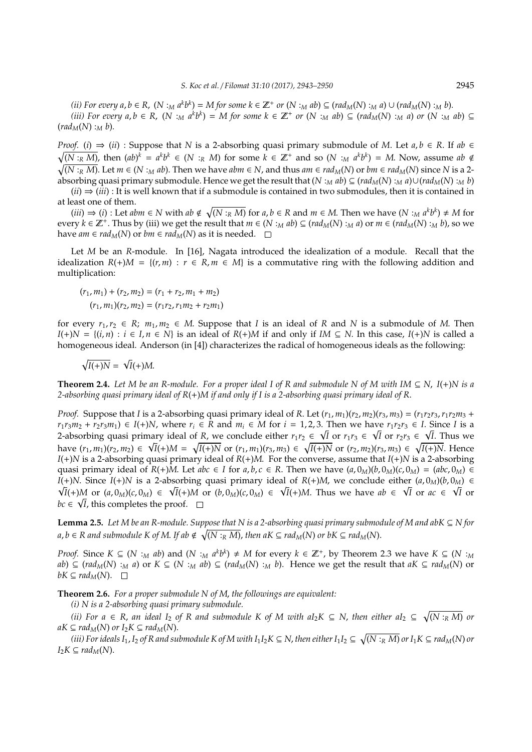(ii) For every  $a, b \in R$ ,  $(N :_M a^k b^k) = M$  for some  $k \in \mathbb{Z}^+$  or  $(N :_M ab) \subseteq (rad_M(N) :_M a) \cup (rad_M(N) :_M b)$ . (iii) For every  $a, b \in R$ ,  $(N :_M a^k b^k) = M$  for some  $k \in \mathbb{Z}^+$  or  $(N :_M ab) \subseteq (rad_M(N) :_M a)$  or  $(N :_M ab) \subseteq$  $(rad_M(N):_Mb).$ 

*Proof.* (*i*)  $\Rightarrow$  (*ii*) : Suppose that *N* is a 2-absorbing quasi primary submodule of *M*. Let  $a, b \in R$ . If  $ab \in R$  $\sqrt{(N:_{R}M)}$ , then  $(ab)^{k} = a^{k}b^{k} \in (N:_{R}M)$  for some  $k \in \mathbb{Z}^{+}$  and so  $(N:_{M}a^{k}b^{k}) = M$ . Now, assume  $ab \notin$  $\sqrt{(N:_{R}M)}$ . Let  $m \in (N:_{M}ab)$ . Then we have  $abm \in N$ , and thus  $am \in rad_{M}(N)$  or  $bm \in rad_{M}(N)$  since N is a 2absorbing quasi primary submodule. Hence we get the result that  $(N : _M ab) \subseteq (rad_M(N) : _M a) \cup (rad_M(N) : _M b)$ 

(*ii*) ⇒ (*iii*) : It is well known that if a submodule is contained in two submodules, then it is contained in at least one of them.

 $(iii) \Rightarrow (i)$ : Let  $abm \in N$  with  $ab \notin \sqrt{(N :_R M)}$  for  $a, b \in R$  and  $m \in M$ . Then we have  $(N :_M a^k b^k) \neq M$  for every  $k \in \mathbb{Z}^+$ . Thus by (iii) we get the result that  $m \in (N :_M ab) \subseteq (rad_M(N) :_M a)$  or  $m \in (rad_M(N) :_M b)$ , so we have *am* ∈ *rad<sub>M</sub>*(*N*) or *bm* ∈ *rad<sub>M</sub>*(*N*) as it is needed.  $□$ 

Let *M* be an *R*-module. In [16], Nagata introduced the idealization of a module. Recall that the idealization  $R(+)M = \{(r, m) : r \in R, m \in M\}$  is a commutative ring with the following addition and multiplication:

$$
(r_1, m_1) + (r_2, m_2) = (r_1 + r_2, m_1 + m_2)
$$

$$
(r_1, m_1)(r_2, m_2) = (r_1 r_2, r_1 m_2 + r_2 m_1)
$$

for every  $r_1, r_2 \in R$ ;  $m_1, m_2 \in M$ . Suppose that *I* is an ideal of *R* and *N* is a submodule of *M*. Then *I*(+)*N* = { $(i, n)$  :  $i \in I, n \in N$ } is an ideal of *R*(+)*M* if and only if *IM* ⊆ *N*. In this case, *I*(+)*N* is called a homogeneous ideal. Anderson (in [4]) characterizes the radical of homogeneous ideals as the following:

$$
\sqrt{I(+)N} = \sqrt{I}(+)M.
$$

**Theorem 2.4.** *Let M be an R-module. For a proper ideal I of R and submodule N of M with IM*  $\subseteq$  *N*, *I*(+)*N* is a *2-absorbing quasi primary ideal of R*(+)*M if and only if I is a 2-absorbing quasi primary ideal of R*.

*Proof.* Suppose that *I* is a 2-absorbing quasi primary ideal of *R*. Let  $(r_1, m_1)(r_2, m_2)(r_3, m_3) = (r_1r_2r_3, r_1r_2m_3 +$  $r_1r_3m_2 + r_2r_3m_1 \in I(+)N$ , where  $r_i \in \mathbb{R}$  and  $m_i \in M$  for  $i = 1, 2, 3$ . Then we have  $r_1r_2r_3 \in I$ . Since I is a 2-absorbing quasi primary ideal of *R*, we conclude either  $r_1r_2 \in \sqrt{I}$  or  $r_1r_3 \in \sqrt{I}$  or  $r_2r_3 \in \sqrt{I}$ . Thus we have  $(r_1,m_1)(r_2,m_2) \in \sqrt{I}(+)M = \sqrt{I(+)N}$  or  $(r_1,m_1)(r_3,m_3) \in \sqrt{I(+)N}$  or  $(r_2,m_2)(r_3,m_3) \in \sqrt{I(+)N}$ . Hence *I*(+)*N* is a 2-absorbing quasi primary ideal of *R*(+)*M*. For the converse, assume that *I*(+)*N* is a 2-absorbing quasi primary ideal of  $R(+)M$ . Let  $abc \in I$  for  $a, b, c \in R$ . Then we have  $(a, 0_M)(b, 0_M)(c, 0_M) = (abc, 0_M) \in$ *I*(+)*N*. Since *I*(+)*N* is a 2-absorbing quasi primary ideal of *R*(+)*M*, we conclude either  $(a, 0<sub>M</sub>)(b, 0<sub>M</sub>)$  ∈  $\overline{I}(+)M$  or  $(a, 0_M)(c, 0_M) \in \sqrt{I}(+)M$  or  $(b, 0_M)(c, 0_M) \in \sqrt{I}(+)M$ . Thus we have  $ab \in \sqrt{I}$  or  $ac \in \sqrt{I}$  or  $bc \in \sqrt{I}$ , this completes the proof.

**Lemma 2.5.** *Let M be an R-module. Suppose that N is a 2-absorbing quasi primary submodule of M and abK* ⊆ *N for*  $a,b\in R$  and submodule  $K$  of  $M.$  If ab  $\notin \sqrt{(N:_RM)}$ , then a $K\subseteq rad_M(N)$  or b $K\subseteq rad_M(N).$ 

*Proof.* Since  $K \subseteq (N :_M ab)$  and  $(N :_M a^k b^k) \neq M$  for every  $k \in \mathbb{Z}^+$ , by Theorem 2.3 we have  $K \subseteq (N :_M ab)$ ab)  $\subseteq$  (rad<sub>M</sub>(N) :<sub>M</sub> a) or  $K \subseteq (N :_M ab) \subseteq (rad_M(N) :_M b)$ . Hence we get the result that  $aK \subseteq rad_M(N)$  or *bK* ⊆ *rad<sub>M</sub>*(*N*). □

**Theorem 2.6.** *For a proper submodule N of M*, *the followings are equivalent:*

*(i) N is a 2-absorbing quasi primary submodule.*

*(ii)* For  $a \in R$ , an ideal  $I_2$  of R and submodule K of M with  $aI_2K ⊆ N$ , then either  $aI_2 ⊆ √(N :_R M)$  or  $aK \subseteq rad_M(N)$  *or*  $I_2K \subseteq rad_M(N)$ .

(iii) For ideals I $_1$ , I $_2$  of R and submodule K of M with I $_1I_2K$   $\subseteq$  N, then either I $_1I_2$   $\subseteq$   $\sqrt{(N:_RM)}$  or I $_1K$   $\subseteq$  rad $_M$ (N) or *I*<sub>2</sub> $K$  ⊆ *rad*<sub>*M*</sub>(*N*).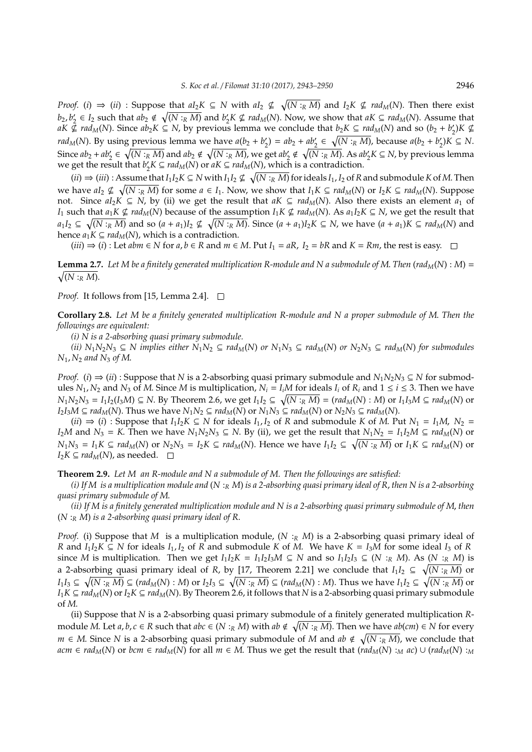*Proof.* (*i*)  $\Rightarrow$  (*ii*) : Suppose that  $aI_2K \subseteq N$  with  $aI_2 \nsubseteq \sqrt{(N :_R M)}$  and  $I_2K \nsubseteq rad_M(N)$ . Then there exist  $b_2, b'_2$  $\chi_2' \in I_2$  such that  $ab_2 \notin \sqrt{(N : R M)}$  and  $b_2'$  $\chi$ <sup>2</sup>K ⊈ *rad<sub>M</sub>*(*N*). Now, we show that *aK* ⊆ *rad<sub>M</sub>*(*N*). Assume that *aK*  $\oint$  *rad<sub>M</sub>*(*N*). Since *ab*<sub>2</sub>*K* ⊆ *N*, by previous lemma we conclude that *b*<sub>2</sub>*K* ⊆ *rad<sub>M</sub>*(*N*) and so (*b*<sub>2</sub> + *b*<sup>2</sup>/<sub>2</sub>  $y'_2$ ) $K \nsubseteq$ *rad*<sub>*M*</sub>(*N*). By using previous lemma we have  $a(b_2 + b_2)$  $Q'_2$ ) =  $ab_2 + ab'_2 \in \sqrt{(N :_R M)}$ , because  $a(b_2 + b'_2)$  $y'_2$ ) $K$  ⊆  $N$ . Since  $ab_2 + ab'_2 \in \sqrt{(N:_{R}M)}$  and  $ab_2 \notin \sqrt{(N:_{R}M)}$ , we get  $ab'_2 \notin \sqrt{(N:_{R}M)}$ . As  $ab'_2K \subseteq N$ , by previous lemma we get the result that  $b'_2$  $Z_2^{\prime}$ *K* ⊆ *rad<sub>M</sub>*(*N*) or *aK* ⊆ *rad<sub>M</sub>*(*N*), which is a contradiction.

(*ii*) ⇒ (*iii*) : Assume that  $I_1I_2K ⊆ N$  with  $I_1I_2 \nsubseteq \sqrt{(N :_R M)}$  for ideals  $I_1$ ,  $I_2$  of  $R$  and submodule  $K$  of  $M$ . Then we have  $aI_2 \nsubseteq \sqrt{(N :_R M)}$  for some  $a \in I_1$ . Now, we show that  $I_1K \subseteq rad_M(N)$  or  $I_2K \subseteq rad_M(N)$ . Suppose not. Since  $aI_2K$  ⊆ *N*, by (ii) we get the result that  $aK ⊆ rad_M(N)$ . Also there exists an element  $a_1$  of *I*<sub>1</sub> such that  $a_1K \nsubseteq rad_M(N)$  because of the assumption  $I_1K \nsubseteq rad_M(N)$ . As  $a_1I_2K \subseteq N$ , we get the result that  $a_1I_2 \subseteq \sqrt{(N:_{R}M)}$  and so  $(a + a_1)I_2 \nsubseteq \sqrt{(N:_{R}M)}$ . Since  $(a + a_1)I_2K \subseteq N$ , we have  $(a + a_1)K \subseteq rad_M(N)$  and hence  $a_1K \subseteq rad_M(N)$ , which is a contradiction.

 $(iii) \Rightarrow (i)$ : Let *abm*  $\in$  *N* for *a*,  $b \in R$  and  $m \in M$ . Put  $I_1 = aR$ ,  $I_2 = bR$  and  $K = Rm$ , the rest is easy.  $\square$ 

**Lemma 2.7.** Let M be a finitely generated multiplication R-module and N a submodule of M. Then (rad<sub>M</sub>(N) : M) =  $\sqrt{(N :_{R} M)}$ .

*Proof.* It follows from [15, Lemma 2.4]. □

**Corollary 2.8.** *Let M be a finitely generated multiplication R-module and N a proper submodule of M*. *Then the followings are equivalent:*

*(i) N is a 2-absorbing quasi primary submodule.*

(ii)  $N_1N_2N_3 \subseteq N$  implies either  $N_1N_2 \subseteq rad_M(N)$  or  $N_1N_3 \subseteq rad_M(N)$  or  $N_2N_3 \subseteq rad_M(N)$  for submodules *N*1, *N*<sup>2</sup> *and N*<sup>3</sup> *of M*.

*Proof.* (*i*)  $\Rightarrow$  (*ii*) : Suppose that *N* is a 2-absorbing quasi primary submodule and  $N_1N_2N_3 \subseteq N$  for submodules  $N_1$ ,  $N_2$  and  $N_3$  of *M*. Since *M* is multiplication,  $N_i = I_i M$  for ideals  $I_i$  of  $R_i$  and  $1 \le i \le 3$ . Then we have  $N_1N_2N_3 = I_1I_2(I_3M) \subseteq N$ . By Theorem 2.6, we get  $I_1I_2 \subseteq \sqrt{(N :_R M)} = (rad_M(N) : M)$  or  $I_1I_3M \subseteq rad_M(N)$  or  $I_2I_3M \subseteq rad_M(N)$ . Thus we have  $N_1N_2 \subseteq rad_M(N)$  or  $N_1N_3 \subseteq rad_M(N)$  or  $N_2N_3 \subseteq rad_M(N)$ .

 $(ii)$  ⇒  $(i)$  : Suppose that  $I_1I_2K ⊆ N$  for ideals  $I_1, I_2$  of R and submodule K of M. Put  $N_1 = I_1M$ ,  $N_2 = I_2$ *I*<sub>2</sub>*M* and *N*<sub>3</sub> = *K*. Then we have *N*<sub>1</sub>*N*<sub>2</sub>*N*<sub>3</sub> ⊆ *N*. By (ii), we get the result that *N*<sub>1</sub>*N*<sub>2</sub> = *I*<sub>1</sub>*I*<sub>2</sub>*M* ⊆ *rad<sub>M</sub>*(*N*) or  $N_1N_3 = I_1K \subseteq rad_M(N)$  or  $N_2N_3 = I_2K \subseteq rad_M(N)$ . Hence we have  $I_1I_2 \subseteq \sqrt{(N :_R M)}$  or  $I_1K \subseteq rad_M(N)$  or *I*<sub>2</sub>*K* ⊆ *rad<sub>M</sub>*(*N*), as needed.  $□$ 

**Theorem 2.9.** *Let M an R-module and N a submodule of M. Then the followings are satisfied:*

*(i) If M is a multiplication module and* (*N* :*<sup>R</sup> M*) *is a 2-absorbing quasi primary ideal of R*, *then N is a 2-absorbing quasi primary submodule of M*.

*(ii) If M is a finitely generated multiplication module and N is a 2-absorbing quasi primary submodule of M*, *then* (*N* :*<sup>R</sup> M*) *is a 2-absorbing quasi primary ideal of R*.

*Proof.* (i) Suppose that *M* is a multiplication module, (*N* :*<sup>R</sup> M*) is a 2-absorbing quasi primary ideal of *R* and *I*<sub>1</sub>*I*<sub>2</sub>*K* ⊆ *N* for ideals *I*<sub>1</sub>, *I*<sub>2</sub> of *R* and submodule *K* of *M*. We have *K* = *I*<sub>3</sub>*M* for some ideal *I*<sub>3</sub> of *R* since M is multiplication. Then we get  $I_1I_2K = I_1I_2I_3M \subseteq N$  and so  $I_1I_2I_3 \subseteq (N :_R M)$ . As  $(N :_R M)$  is a 2-absorbing quasi primary ideal of *R*, by [17, Theorem 2.21] we conclude that  $I_1I_2 \subseteq \sqrt{(N :_R M)}$  or  $I_1I_3\subseteq \sqrt{(N:_RM)}\subseteq (rad_M(N):M)$  or  $I_2I_3\subseteq \sqrt{(N:_RM)}\subseteq (rad_M(N):M).$  Thus we have  $I_1I_2\subseteq \sqrt{(N:_RM)}$  or *I*<sub>1</sub>*K* ⊆ *rad<sub>M</sub>*(*N*) or *I*<sub>2</sub>*K* ⊆ *rad<sub>M</sub>*(*N*). By Theorem 2.6, it follows that *N* is a 2-absorbing quasi primary submodule of *M*.

(ii) Suppose that *N* is a 2-absorbing quasi primary submodule of a finitely generated multiplication *R*module *M*. Let *a*, *b*, *c* ∈ *R* such that *abc* ∈ (*N* :*R M*) with *ab* ∉  $\sqrt{(N : R M)}$ . Then we have *ab*(*cm*) ∈ *N* for every *m* ∈ *M*. Since *N* is a 2-absorbing quasi primary submodule of *M* and  $ab \notin \sqrt{(N :_{R} M)}$ , we conclude that  $acm \in rad_M(N)$  or  $bcm \in rad_M(N)$  for all  $m \in M$ . Thus we get the result that  $(rad_M(N) :_M ac) \cup (rad_M(N) :_M c)$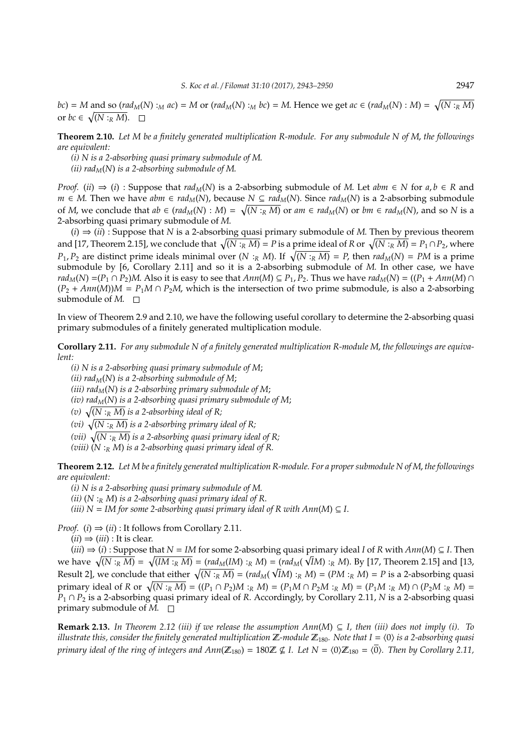*bc*) = *M* and so (*rad<sub>M</sub>*(*N*) :<sub>*M*</sub> *ac*) = *M* or (*rad<sub>M</sub>*(*N*) :*<sub>M</sub> bc*) = *M*. Hence we get *ac*  $\in$  (*rad<sub>M</sub>*(*N*) : *M*) =  $\sqrt{(N :_R M)}$ or  $bc \in \sqrt{(N : R M)}$ .

**Theorem 2.10.** *Let M be a finitely generated multiplication R-module. For any submodule N of M*, *the followings are equivalent:*

*(i) N is a 2-absorbing quasi primary submodule of M*.

*(ii) rad* $<sub>M</sub>(N)$  *is a 2-absorbing submodule of M.*</sub>

*Proof.* (*ii*)  $\Rightarrow$  (*i*) : Suppose that *rad*<sub>*M*</sub>(*N*) is a 2-absorbing submodule of *M*. Let *abm*  $\in$  *N* for *a*, *b*  $\in$  *R* and *m* ∈ *M*. Then we have *abm* ∈ *rad<sub>M</sub>*(*N*), because *N* ⊆ *rad<sub>M</sub>*(*N*). Since *rad<sub>M</sub>*(*N*) is a 2-absorbing submodule of M, we conclude that  $ab \in (rad_M(N) : M) = \sqrt{(N :_R M)}$  or  $am \in rad_M(N)$  or  $bm \in rad_M(N)$ , and so N is a 2-absorbing quasi primary submodule of *M*.

(*i*) ⇒ (*ii*) : Suppose that *N* is a 2-absorbing quasi primary submodule of *M*. Then by previous theorem and [17, Theorem 2.15], we conclude that  $\sqrt{(N :_R M)} = P$  is a prime ideal of *R* or  $\sqrt{(N :_R M)} = P_1 \cap P_2$ , where *P*<sub>1</sub>, *P*<sub>2</sub> are distinct prime ideals minimal over  $(N : R M)$ . If  $\sqrt{(N : R M)} = P$ , then  $rad_M(N) = PM$  is a prime submodule by [6, Corollary 2.11] and so it is a 2-absorbing submodule of *M*. In other case, we have  $rad_M(N) = (P_1 \cap P_2)M$ . Also it is easy to see that  $Ann(M) \subseteq P_1, P_2$ . Thus we have  $rad_M(N) = ((P_1 + Ann(M) \cap P_2)M)$ .  $(P_2 + Ann(M))M = P_1M \cap P_2M$ , which is the intersection of two prime submodule, is also a 2-absorbing submodule of  $M$ .  $\Box$ 

In view of Theorem 2.9 and 2.10, we have the following useful corollary to determine the 2-absorbing quasi primary submodules of a finitely generated multiplication module.

**Corollary 2.11.** *For any submodule N of a finitely generated multiplication R-module M*, *the followings are equivalent:*

*(i) N is a 2-absorbing quasi primary submodule of M*; *(ii) radM*(*N*) *is a 2-absorbing submodule of M*; *(iii) rad* $_M(N)$  *is a 2-absorbing primary submodule of M; (iv) radM*(*N*) *is a 2-absorbing quasi primary submodule of M*; *(v)*  $\sqrt{(N :_{R} M)}$  *is a 2-absorbing ideal of R; (vi)*  $\sqrt{(N :_{R} M)}$  *is a 2-absorbing primary ideal of R;* (vii)  $\sqrt{\left(N:_{R}M\right)}$  is a 2-absorbing quasi primary ideal of R;

*(viii)* (*N* :*<sup>R</sup> M*) *is a 2-absorbing quasi primary ideal of R.*

**Theorem 2.12.** *Let M be a finitely generated multiplication R-module. For a proper submodule N of M*, *the followings are equivalent:*

*(i) N is a 2-absorbing quasi primary submodule of M*.

*(ii)* (*N* :*<sup>R</sup> M*) *is a 2-absorbing quasi primary ideal of R*.

*(iii)*  $N = IM$  *for some 2-absorbing quasi primary ideal of R with Ann*(*M*)  $\subseteq$  *I*.

*Proof.* (*i*)  $\Rightarrow$  (*ii*) : It follows from Corollary 2.11.

 $(ii) \Rightarrow (iii)$ : It is clear.

 $(iii)$  ⇒  $(i)$ : Suppose that *N* = *IM* for some 2-absorbing quasi primary ideal *I* of *R* with *Ann*(*M*) ⊆ *I*. Then we have  $\sqrt{(N :_{R} M)} = \sqrt{(IM :_{R} M)} = (rad_{M}(IM) :_{R} M) = (rad_{M}(\sqrt{IM}) :_{R} M)$ . By [17, Theorem 2.15] and [13, Result 2], we conclude that either  $\sqrt{(N :_R M)} = (rad_M(\sqrt{I}M) :_R M) = (PM :_R M) = P$  is a 2-absorbing quasi primary ideal of R or  $\sqrt{(N :_{R} M)} = ((P_1 \cap P_2)M :_{R} M) = (P_1M \cap P_2M :_{R} M) = (P_1M :_{R} M) \cap (P_2M :_{R} M) =$ *P*<sub>1</sub> ∩ *P*<sub>2</sub> is a 2-absorbing quasi primary ideal of *R*. Accordingly, by Corollary 2.11, *N* is a 2-absorbing quasi primary submodule of  $M$ .  $\square$ 

**Remark 2.13.** *In Theorem 2.12 (iii) if we release the assumption Ann*( $M$ )  $\subseteq$  *I, then (iii) does not imply (i). To illustrate this, consider the finitely generated multiplication*  $\mathbb{Z}$ -module  $\mathbb{Z}_{180}$ . Note that  $I = \langle 0 \rangle$  *is a 2-absorbing quasi primary ideal of the ring of integers and Ann*( $\mathbb{Z}_{180}$ ) = 180 $\mathbb{Z} \nsubseteq I$ . Let N =  $\langle 0 \rangle \mathbb{Z}_{180} = \langle 0 \rangle$ . Then by Corollary 2.11,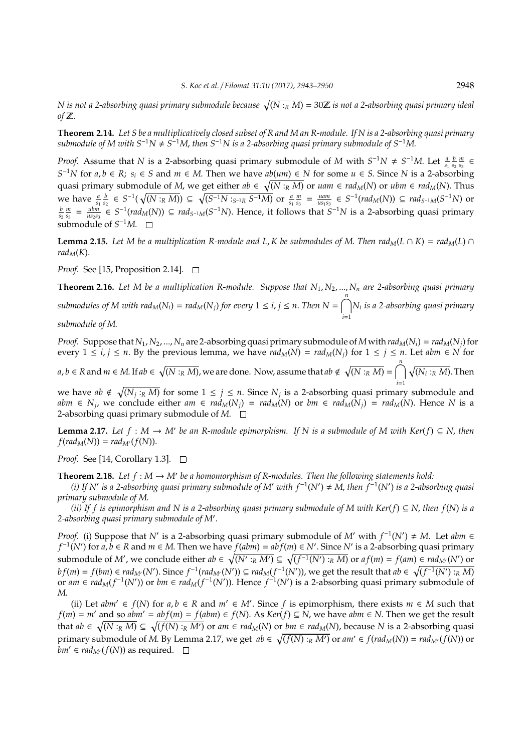$N$  is not a 2-absorbing quasi primary submodule because  $\sqrt{(N :_R M)} = 30 \mathbb{Z}$  is not a 2-absorbing quasi primary ideal *of* Z.

**Theorem 2.14.** *Let S be a multiplicatively closed subset of R and M an R-module. If N is a 2-absorbing quasi primary submodule of M with S*<sup>−</sup>1*N* , *S* <sup>−</sup>1*M*, *then S*<sup>−</sup>1*N is a 2-absorbing quasi primary submodule of S*<sup>−</sup>1*M*.

*Proof.* Assume that *N* is a 2-absorbing quasi primary submodule of *M* with  $S^{-1}N \neq S^{-1}M$ . Let  $\frac{a}{s_1} \frac{b}{s_2} \frac{m}{s_3}$ *S*<sup>-1</sup>*N* for *a*, *b* ∈ *R*; *s*<sub>*i*</sub> ∈ *S* and *m* ∈ *M*. Then we have *ab*(*um*) ∈ *N* for some *u* ∈ *S*. Since *N* is a 2-absorbing quasi primary submodule of *M*, we get either  $ab \in \sqrt{(N :_R M)}$  or  $uam \in rad_M(N)$  or  $ubm \in rad_M(N)$ . Thus we have  $\frac{a}{s_1} \frac{b}{s_2} \in S^{-1}(\sqrt{(N :_R M)}) \subseteq \sqrt{(S^{-1}N :_{S^{-1}R} S^{-1}M)}$  or  $\frac{a}{s_1} \frac{m}{s_3} = \frac{uam}{u s_1 s_3} \in S^{-1}(rad_M(N)) \subseteq rad_{S^{-1}M}(S^{-1}N)$  or  $\frac{b}{s_2} \frac{m}{s_3} = \frac{ubm}{us_2s_3} \in S^{-1}(rad_M(N)) \subseteq rad_{S^{-1}M}(S^{-1}N)$ . Hence, it follows that  $S^{-1}N$  is a 2-absorbing quasi primary submodule of  $S^{-1}M$ .

**Lemma 2.15.** *Let M be a multiplication R-module and L, K be submodules of M. Then rad<sub>M</sub>(<i>L*  $\cap$  *K*) = rad<sub>M</sub>(*L*)  $\cap$ *rad*<sub>*M*</sub>(*K*).

*Proof.* See [15, Proposition 2.14]. □

**Theorem 2.16.** *Let M be a multiplication R-module. Suppose that N*1, *N*2, ..., *N<sup>n</sup> are 2-absorbing quasi primary* submodules of M with rad $_M(N_i) = rad_M(N_j)$  for every  $1 \leq i, j \leq n$ . Then  $N = \bigcap^n \! N_i$  is a 2-absorbing quasi primary *i*=1

*submodule of M*.

*Proof.* Suppose that  $N_1$ ,  $N_2$ , ...,  $N_n$  are 2-absorbing quasi primary submodule of M with  $rad_M(N_i) = rad_M(N_j)$  for every  $1 \le i, j \le n$ . By the previous lemma, we have  $rad_M(N) = rad_M(N_j)$  for  $1 \le j \le n$ . Let  $abm \in N$  for

 $a,b\in R$  and  $m\in M$ . If  $ab\in \sqrt{(N:_RM)}$ , we are done. Now, assume that  $ab\notin \sqrt{(N:_RM)}=\bigcap^n\sqrt{(N_i:_RM)}.$  Then *i*=1

we have  $ab \notin \sqrt{(N_j : R M)}$  for some  $1 \le j \le n$ . Since  $N_j$  is a 2-absorbing quasi primary submodule and abm  $\in N_j$ , we conclude either am  $\in rad_M(N_j) = rad_M(N)$  or bm  $\in rad_M(N_j) = rad_M(N)$ . Hence N is a 2-absorbing quasi primary submodule of *M*.

**Lemma 2.17.** *Let*  $f : M → M'$  *be an R-module epimorphism. If* N *is a submodule of* M *with Ker*( $f$ ) ⊆ N, *then*  $f(rad_M(N)) = rad_{M'}(f(N)).$ 

*Proof.* See [14, Corollary 1.3]. □

**Theorem 2.18.** Let  $f : M \to M'$  be a homomorphism of R-modules. Then the following statements hold:

*(i)* If N' is a 2-absorbing quasi primary submodule of M' with  $f^{-1}(N')$  ≠ M, then  $f^{-1}(N')$  is a 2-absorbing quasi *primary submodule of M*.

*(ii) If f is epimorphism and N is a 2-absorbing quasi primary submodule of M with Ker*(*f*) ⊆ *N*, *then f*(*N*) *is a* 2-absorbing quasi primary submodule of M'.

*Proof.* (i) Suppose that *N'* is a 2-absorbing quasi primary submodule of *M'* with  $f^{-1}(N') \neq M$ . Let *abm* ∈  $f^{-1}(N')$  for  $a, b \in R$  and  $m \in M$ . Then we have  $f(abm) = abf(m) \in N'$ . Since  $N'$  is a 2-absorbing quasi primary submodule of  $M'$ , we conclude either  $ab \in \sqrt{(N':_R M')} \subseteq \sqrt{(f^{-1}(N'):_R M)}$  or  $af(m) = f(am) \in rad_{M'}(N')$  or  $bf(m) = f(bm) \in rad_{M'}(N')$ . Since  $f^{-1}(rad_{M'}(N')) \subseteq rad_M(f^{-1}(N'))$ , we get the result that  $ab \in \sqrt{(f^{-1}(N') : R M)}$ or  $am \in rad_M(f^{-1}(N'))$  or  $bm \in rad_M(f^{-1}(N'))$ . Hence  $f^{-1}(N')$  is a 2-absorbing quasi primary submodule of *M*.

(ii) Let  $abm'$  ∈  $f(N)$  for  $a, b \in R$  and  $m' \in M'$ . Since  $f$  is epimorphism, there exists  $m \in M$  such that *f*(*m*) = *m'* and so *abm'* =  $abf(m) = f(abm) \in f(N)$ . As  $Ker(f) ⊆ N$ , we have  $abm ∈ N$ . Then we get the result that  $ab \in \sqrt{(N :_R M)} \subseteq \sqrt{(f(N) :_R M')}$  or  $am \in rad_M(N)$  or  $bm \in rad_M(N)$ , because N is a 2-absorbing quasi primary submodule of *M*. By Lemma 2.17, we get  $ab \in \sqrt{(f(N):_R M')}$  or  $am' \in f(rad_M(N)) = rad_M(f(N))$  or *bm'* ∈ *rad*<sub>*M'*</sub>( $f$ (*N*)) as required.  $□$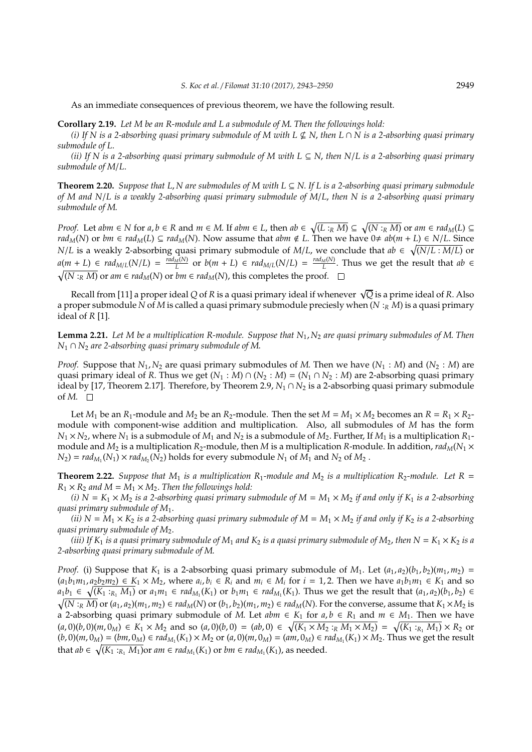As an immediate consequences of previous theorem, we have the following result.

**Corollary 2.19.** *Let M be an R-module and L a submodule of M*. *Then the followings hold:*

*(i) If N is a 2-absorbing quasi primary submodule of M with L* \* *N*, *then L* ∩ *N is a 2-absorbing quasi primary submodule of L*.

*(ii) If N is a 2-absorbing quasi primary submodule of M with L* ⊆ *N*, *then N*/*L is a 2-absorbing quasi primary submodule of M*/*L*.

**Theorem 2.20.** *Suppose that L*, *N are submodules of M with L* ⊆ *N*. *If L is a 2-absorbing quasi primary submodule of M and N*/*L is a weakly 2-absorbing quasi primary submodule of M*/*L*, *then N is a 2-absorbing quasi primary submodule of M*.

*Proof.* Let abm  $\in$  N for a,  $b \in R$  and  $m \in M$ . If abm  $\in L$ , then  $ab \in \sqrt{(L :_R M)} \subseteq \sqrt{(N :_R M)}$  or am  $\in rad_M(L) \subseteq$ *rad<sub>M</sub>*(*N*) or *bm* ∈ *rad<sub>M</sub>*(*L*) ⊆ *rad<sub>M</sub>*(*N*). Now assume that *abm* ∉ *L*. Then we have 0≠ *ab*(*m* + *L*) ∈ *N*/*L*. Since *N*/*L* is a weakly 2-absorbing quasi primary submodule of *M*/*L*, we conclude that  $ab \in \sqrt{(N/L : M/L)}$  or  $a(m + L) \in rad_{M/L}(N/L) = \frac{rad_M(N)}{L}$  $\frac{M(N)}{L}$  or  $b(m + L) \in rad_{M/L}(N/L) = \frac{rad_M(N)}{L}$  $\frac{L}{L}$ . Thus we get the result that  $ab \in$  $\sqrt{(N :_{R} M)}$  or *am* ∈ *rad<sub>M</sub>*(*N*) or *bm* ∈ *rad<sub>M</sub>*(*N*), this completes the proof.

Recall from [11] a proper ideal *<sup>Q</sup>* of *<sup>R</sup>* is a quasi primary ideal if whenever <sup>√</sup> *Q* is a prime ideal of *R*. Also a proper submodule *N* of *M* is called a quasi primary submodule preciesly when (*N* :*<sup>R</sup> M*) is a quasi primary ideal of *R* [1].

**Lemma 2.21.** *Let M be a multiplication R-module. Suppose that N*1, *N*<sup>2</sup> *are quasi primary submodules of M*. *Then N*<sup>1</sup> ∩ *N*<sup>2</sup> *are 2-absorbing quasi primary submodule of M*.

*Proof.* Suppose that  $N_1$ ,  $N_2$  are quasi primary submodules of M. Then we have  $(N_1 : M)$  and  $(N_2 : M)$  are quasi primary ideal of *R*. Thus we get  $(N_1 : M) \cap (N_2 : M) = (N_1 \cap N_2 : M)$  are 2-absorbing quasi primary ideal by [17, Theorem 2.17]. Therefore, by Theorem 2.9,  $N_1 \cap N_2$  is a 2-absorbing quasi primary submodule of  $M$ .  $\square$ 

Let  $M_1$  be an  $R_1$ -module and  $M_2$  be an  $R_2$ -module. Then the set  $M = M_1 \times M_2$  becomes an  $R = R_1 \times R_2$ module with component-wise addition and multiplication. Also, all submodules of *M* has the form  $N_1 \times N_2$ , where  $N_1$  is a submodule of  $M_1$  and  $N_2$  is a submodule of  $M_2$ . Further, If  $M_1$  is a multiplication  $R_1$ module and  $M_2$  is a multiplication  $R_2$ -module, then  $M$  is a multiplication  $R$ -module. In addition,  $rad_M(N_1 \times$  $N_2$ ) =  $rad_{M_1}(N_1) \times rad_{M_2}(N_2)$  holds for every submodule  $N_1$  of  $M_1$  and  $N_2$  of  $M_2$ .

**Theorem 2.22.** *Suppose that*  $M_1$  *is a multiplication*  $R_1$ *-module and*  $M_2$  *is a multiplication*  $R_2$ *-module. Let*  $R =$  $R_1 \times R_2$  *and*  $M = M_1 \times M_2$ . *Then the followings hold:* 

(*i*)  $N = K_1 \times M_2$  *is a 2-absorbing quasi primary submodule of*  $M = M_1 \times M_2$  *if and only if*  $K_1$  *is a 2-absorbing quasi primary submodule of M*1.

*(ii)*  $N = M_1 \times K_2$  *is a 2-absorbing quasi primary submodule of*  $M = M_1 \times M_2$  *if and only if*  $K_2$  *is a 2-absorbing quasi primary submodule of M*2.

*(iii)* If  $K_1$  *is a quasi primary submodule of*  $M_1$  *and*  $K_2$  *is a quasi primary submodule of*  $M_2$ , *then*  $N = K_1 \times K_2$  *is a 2-absorbing quasi primary submodule of M*.

*Proof.* (i) Suppose that  $K_1$  is a 2-absorbing quasi primary submodule of  $M_1$ . Let  $(a_1, a_2)(b_1, b_2)(m_1, m_2)$  =  $(a_1b_1m_1, a_2b_2m_2) \in K_1 \times M_2$ , where  $a_i, b_i \in R_i$  and  $m_i \in M_i$  for  $i = 1, 2$ . Then we have  $a_1b_1m_1 \in K_1$  and so  $a_1b_1 \in \sqrt{(K_1:_{R_1}M_1)}$  or  $a_1m_1 \in rad_{M_1}(K_1)$  or  $b_1m_1 \in rad_{M_1}(K_1)$ . Thus we get the result that  $(a_1,a_2)(b_1,b_2) \in$  $\sqrt{(N:_{R}M)}$  or  $(a_1,a_2)(m_1,m_2) \in rad_M(N)$  or  $(b_1,b_2)(m_1,m_2) \in rad_M(N)$ . For the converse, assume that  $K_1 \times M_2$  is a 2-absorbing quasi primary submodule of *M*. Let  $abm \in K_1$  for  $a, b \in R_1$  and  $m \in M_1$ . Then we have  $(a,0)(b,0)(m,0_M) \in K_1 \times M_2$  and so  $(a,0)(b,0) = (ab,0) \in \sqrt{(K_1 \times M_2 :_R M_1 \times M_2)} = \sqrt{(K_1 :_{R_1} M_1)} \times R_2$  or  $(b,0)(m,0_M) = (bm,0_M) \in rad_{M_1}(K_1) \times M_2$  or  $(a,0)(m,0_M) = (am,0_M) \in rad_{M_1}(K_1) \times M_2$ . Thus we get the result that  $ab \in \sqrt{(K_1 :_{R_1} M_1)}$ or  $am \in rad_{M_1}(K_1)$  or  $bm \in rad_{M_1}(K_1)$ , as needed.